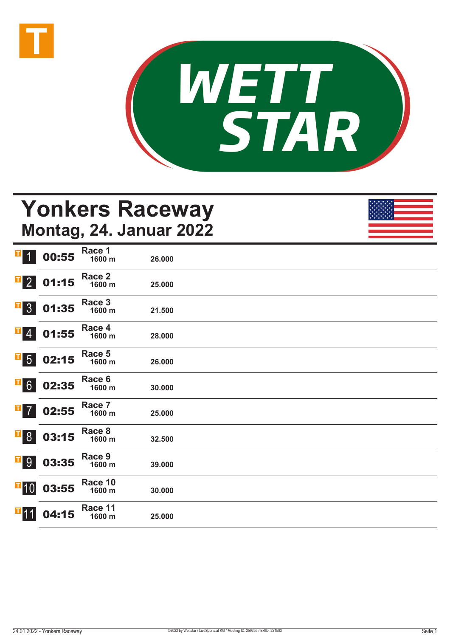



## **Yonkers Raceway Montag, 24. Januar 2022**

| H<br>$\overline{1}$                                                | 00:55 | Race 1<br>1600 m  | 26.000 |  |
|--------------------------------------------------------------------|-------|-------------------|--------|--|
| $\overline{\textbf{1}}$ 2                                          | 01:15 | Race 2<br>1600 m  | 25.000 |  |
| $\begin{array}{ c c } \hline \textbf{I} & 3 \\ \hline \end{array}$ | 01:35 | Race 3<br>1600 m  | 21.500 |  |
| $\mathbf{F}$ 4                                                     | 01:55 | Race 4<br>1600 m  | 28.000 |  |
| $\overline{\phantom{a}}$ 5                                         | 02:15 | Race 5<br>1600 m  | 26.000 |  |
| $\overline{1}6$                                                    | 02:35 | Race 6<br>1600 m  | 30.000 |  |
| $\mathbf{T}$<br>$\overline{7}$                                     | 02:55 | Race 7<br>1600 m  | 25.000 |  |
| $\overline{\phantom{0}}$ $\overline{\phantom{0}}$                  | 03:15 | Race 8<br>1600 m  | 32.500 |  |
| <b>T</b> <sup>9</sup>                                              | 03:35 | Race 9<br>1600 m  | 39.000 |  |
| $\blacksquare$ 10                                                  | 03:55 | Race 10<br>1600 m | 30.000 |  |
| $\P$ 11                                                            | 04:15 | Race 11<br>1600 m | 25.000 |  |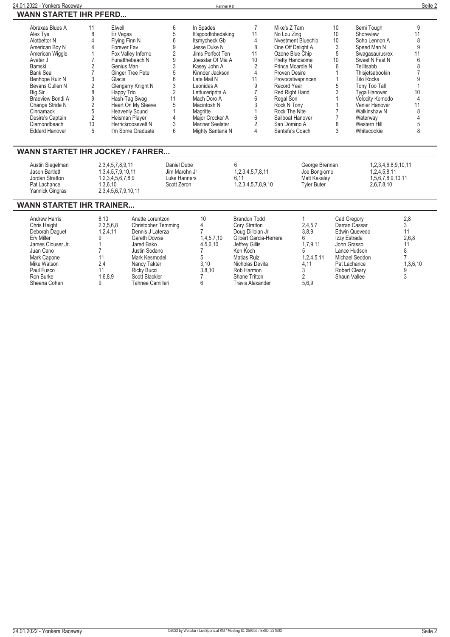| Abraxas Blues A       |    | Elwell                | In Spades          |    | Mike's Z Tam           | 10 | Semi Tough        |  |
|-----------------------|----|-----------------------|--------------------|----|------------------------|----|-------------------|--|
| Alex Tye              | 8  | Er Vegas              | It'sgoodtobedaking |    | No Lou Zing            | 10 | Shoreview         |  |
| Alothettor N          |    | Flying Finn N         | Itsmycheck Gb      |    | Nvestment Bluechip     | 10 | Soho Lennon A     |  |
| American Boy N        |    | Forever Fav           | Jesse Duke N       | 8  | One Off Delight A      |    | Speed Man N       |  |
| American Wiggle       |    | Fox Valley Inferno    | Jims Perfect Ten   |    | Ozone Blue Chip        | 5  | Swaqasaurusrex    |  |
| Avatar J              |    | Funatthebeach N       | Joesstar Of Mia A  | 10 | <b>Pretty Handsome</b> | 10 | Sweet N Fast N    |  |
| Bamski                |    | Genius Man            | Kasev John A       |    | Prince Mcardle N       |    | Tellitsabb        |  |
| Bank Sea              |    | Ginger Tree Pete      | Kinnder Jackson    |    | Proven Desire          |    | Thisietsabookin   |  |
| Benhope Rulz N        |    | Glacis                | Late Mail N        |    | Provocativeprincen     |    | <b>Tito Rocks</b> |  |
| Bevans Cullen N       |    | Glengarry Knight N    | Leonidas A         |    | Record Year            |    | Tony Too Tall     |  |
| Big Sir               |    | Happy Trio            | Lettuceriprita A   |    | Red Right Hand         |    | Tyga Hanover      |  |
| Braeview Bondi A      |    | Hash-Tag Swag         | Mach Doro A        |    | Regal Son              |    | Velocity Komodo   |  |
| Change Stride N       |    | Heart On My Sleeve    | Macintosh N        |    | Rock N Tony            |    | Venier Hanover    |  |
| Cinnamack             |    | <b>Heavenly Sound</b> | Magritte           |    | Rock The Nite          |    | Walkinshaw N      |  |
| Desire's Captain      |    | Heisman Player        | Major Crocker A    |    | Sailboat Hanover       |    | Waterway          |  |
| Diamondbeach          | 10 | Herrickroosevelt N    | Mariner Seelster   |    | San Domino A           |    | Western Hill      |  |
| <b>Eddard Hanover</b> | 5  | I'm Some Graduate     | Mighty Santana N   |    | Santafe's Coach        |    | Whitecookie       |  |
|                       |    |                       |                    |    |                        |    |                   |  |

#### **WANN STARTET IHR JOCKEY / FAHRER...**

| Austin Siegelman<br>Jason Bartlett<br>Jordan Stratton<br>Pat Lachance<br>Yannick Gingras | 2,3,4,5,7,8,9,11<br>1,3,4,5,7,9,10,11<br>.2.3.4.5.6.7.8.9<br>.3.6.10<br>2,3,4,5,6,7,9,10,11 | Daniel Dube<br>Jim Marohn Jr<br>Luke Hanners<br>Scott Zeron | 1, 2, 3, 4, 5, 7, 8, 11<br>1,2,3,4,5,7,8,9,10 | George Brennan<br>Joe Bongiorno<br>Matt Kakaley<br>Tvler Buter | 1,2,3,4,6,8,9,10,11<br>1.2.4.5.8.11<br>1.5.6.7.8.9.10.11<br>2.6.7.8.10 |  |
|------------------------------------------------------------------------------------------|---------------------------------------------------------------------------------------------|-------------------------------------------------------------|-----------------------------------------------|----------------------------------------------------------------|------------------------------------------------------------------------|--|
|------------------------------------------------------------------------------------------|---------------------------------------------------------------------------------------------|-------------------------------------------------------------|-----------------------------------------------|----------------------------------------------------------------|------------------------------------------------------------------------|--|

#### **WANN STARTET IHR TRAINER...**

| 3.10<br>2.4<br>Mike Watson<br>Nicholas Devita<br>Pat Lachance<br>Nancy Takter<br>4.11<br>3.8.10<br>Rob Harmon<br><b>Robert Clearv</b><br>Paul Fusco<br><b>Ricky Bucci</b><br>Shaun Vallee<br>Ron Burke<br>1.6.8.9<br>Scott Blackler<br>Shane Tritton<br>5,6,9<br>Sheena Cohen<br>Tahnee Camilleri<br>Travis Alexander | Andrew Harris<br>Chris Height<br>Deborah Daquet<br>Erv Miller<br>James Clouser Jr.<br>Juan Cano<br>Mark Capone | 8.10<br>2,3,5,6,8<br>1.2.4.11 | Anette Lorentzon<br><b>Christopher Temming</b><br>Dennis J Laterza<br>Gareth Dowse<br>Jared Bako<br>Justin Sodano<br>Mark Kesmodel | 10<br>1,4,5,7,10<br>4.5.6.10 | Brandon Todd<br>Cory Stratton<br>Doug Dilloian Jr<br>Gilbert Garcia-Herrera<br>Jeffrey Gillis<br>Ken Koch<br>Matias Ruiz | 2,4,5,7<br>3,8,9<br>6<br>1,7,9,11<br>1,2,4,5,11 | Cad Gregory<br>Darran Cassar<br>Edwin Quevedo<br>Izzy Estrada<br>John Grasso<br>Lance Hudson<br>Michael Seddon | 2,8<br>2,6,8<br>1,3,6,10 |
|-----------------------------------------------------------------------------------------------------------------------------------------------------------------------------------------------------------------------------------------------------------------------------------------------------------------------|----------------------------------------------------------------------------------------------------------------|-------------------------------|------------------------------------------------------------------------------------------------------------------------------------|------------------------------|--------------------------------------------------------------------------------------------------------------------------|-------------------------------------------------|----------------------------------------------------------------------------------------------------------------|--------------------------|
|-----------------------------------------------------------------------------------------------------------------------------------------------------------------------------------------------------------------------------------------------------------------------------------------------------------------------|----------------------------------------------------------------------------------------------------------------|-------------------------------|------------------------------------------------------------------------------------------------------------------------------------|------------------------------|--------------------------------------------------------------------------------------------------------------------------|-------------------------------------------------|----------------------------------------------------------------------------------------------------------------|--------------------------|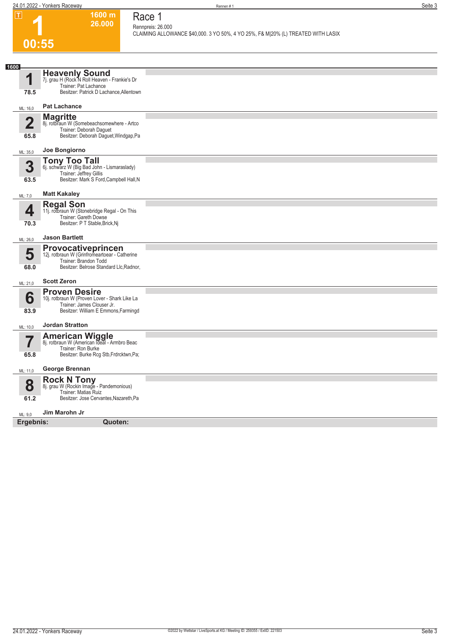**1600 m 26.000**  **Race 1 Rennpreis: 26.000**

**CLAIMING ALLOWANCE \$40,000. 3 YO 50%, 4 YO 25%, F& M|20% (L) TREATED WITH LASIX** 

### **1 00:55**

| 1600<br>1               | Heavenly Sound<br>7j. grau H (Rock N Roll Heaven - Frankie's Dr<br>Trainer: Pat Lachance                                                    |  |
|-------------------------|---------------------------------------------------------------------------------------------------------------------------------------------|--|
| 78.5                    | Besitzer: Patrick D Lachance, Allentown                                                                                                     |  |
| ML: 16,0                | <b>Pat Lachance</b>                                                                                                                         |  |
| $\overline{\mathbf{2}}$ | <b>Magritte</b><br>8j. rotbraun W (Somebeachsomewhere - Artco<br>Trainer: Deborah Daguet                                                    |  |
| 65.8                    | Besitzer: Deborah Daguet, Windgap, Pa                                                                                                       |  |
| ML: 35,0                | Joe Bongiorno                                                                                                                               |  |
| 3<br>63.5               | <b>Tony Too Tall</b> 6j. schwarz W (Big Bad John - Lismaraslady)<br>Trainer: Jeffrey Gillis<br>Besitzer: Mark S Ford, Campbell Hall, N      |  |
| ML: 7,0                 | <b>Matt Kakaley</b>                                                                                                                         |  |
| 4                       | <b>Regal Son</b><br>11j. rotbraun W (Stonebridge Regal - On This<br>Trainer: Gareth Dowse                                                   |  |
| 70.3                    | Besitzer: P T Stable, Brick, Nj                                                                                                             |  |
| ML: 26,0                | <b>Jason Bartlett</b>                                                                                                                       |  |
| 5<br>68.0               | Provocativeprincen<br>12j. rotbraun W (Grinfromeartoear - Catherine<br>Trainer: Brandon Todd<br>Besitzer: Belrose Standard Llc, Radnor,     |  |
| ML: 21,0                | <b>Scott Zeron</b>                                                                                                                          |  |
| 6<br>83.9               | <b>Proven Desire</b><br>10j. rotbraun W (Proven Lover - Shark Like La<br>Trainer: James Clouser Jr.<br>Besitzer: William E Emmons, Farmingd |  |
| ML: 10.0                | <b>Jordan Stratton</b>                                                                                                                      |  |
| 7<br>65.8               | <b>American Wiggle</b><br>8j. rotbraun W (American Ideal - Armbro Beac<br>Trainer: Ron Burke<br>Besitzer: Burke Rcg Stb, Frdrcktwn, Pa;     |  |
|                         | George Brennan                                                                                                                              |  |
| ML: 11,0                |                                                                                                                                             |  |
| 8                       | <b>Rock N Tony</b><br>8j. grau W (Rockin Image - Pandemonious)<br>Trainer: Matias Ruiz                                                      |  |
| 61.2                    | Besitzer: Jose Cervantes, Nazareth, Pa                                                                                                      |  |
| ML: 9.0                 | Jim Marohn Jr                                                                                                                               |  |
| Ergebnis:               | Quoten:                                                                                                                                     |  |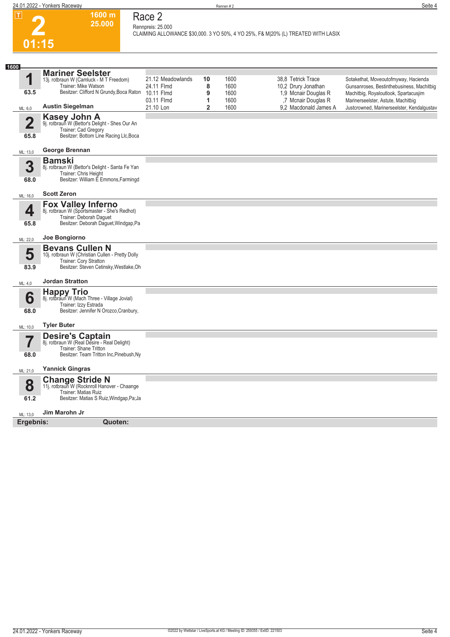

### **Race 2 Rennpreis: 25.000**

**1600 m 25.000** 

**CLAIMING ALLOWANCE \$30,000. 3 YO 50%, 4 YO 25%, F& M|20% (L) TREATED WITH LASIX** 

| 1600                    |                                                                                                                                                  |                                 |                     |                      |                                                                   |                                                                                                                            |
|-------------------------|--------------------------------------------------------------------------------------------------------------------------------------------------|---------------------------------|---------------------|----------------------|-------------------------------------------------------------------|----------------------------------------------------------------------------------------------------------------------------|
| 1<br>63.5               | <b>Mariner Seelster</b><br>13j. rotbraun W (Camluck - M T Freedom)<br>Trainer: Mike Watson<br>Besitzer: Clifford N Grundy, Boca Raton 10.11 Flmd | 21.12 Meadowlands<br>24.11 Flmd | 10<br>8<br>9        | 1600<br>1600<br>1600 | 38.8 Tetrick Trace<br>10,2 Drury Jonathan<br>1,9 Mcnair Douglas R | Sotakethat, Moveoutofmyway, Hacienda<br>Gunsanroses, Bestinthebusiness, Machitbig<br>Machitbig, Royaloutlook, Spartacusjim |
| ML: 6,0                 | <b>Austin Siegelman</b>                                                                                                                          | 03.11 Flmd<br>21.10 Lon         | 1<br>$\overline{2}$ | 1600<br>1600         | ,7 Mcnair Douglas R<br>9.2 Macdonald James A                      | Marinerseelster, Astute, Machitbig<br>Justcrowned, Marinerseelster, Kendalgustav                                           |
| $\overline{2}$<br>65.8  | Kasey John A<br>9j. rotbraun W (Bettor's Delight - Shes Our An<br>Trainer: Cad Gregory<br>Besitzer: Bottom Line Racing Llc, Boca                 |                                 |                     |                      |                                                                   |                                                                                                                            |
| ML: 13,0                | George Brennan                                                                                                                                   |                                 |                     |                      |                                                                   |                                                                                                                            |
| 3<br>68.0               | <b>Bamski</b><br>8j. rotbraun W (Bettor's Delight - Santa Fe Yan<br>Trainer: Chris Height<br>Besitzer: William E Emmons, Farmingd                |                                 |                     |                      |                                                                   |                                                                                                                            |
| ML: 16,0                | <b>Scott Zeron</b>                                                                                                                               |                                 |                     |                      |                                                                   |                                                                                                                            |
| 4<br>65.8               | <b>Fox Valley Inferno</b><br>8j. rotbraun W (Sportsmaster - She's Redhot)<br>Trainer: Deborah Daguet<br>Besitzer: Deborah Daguet, Windgap, Pa    |                                 |                     |                      |                                                                   |                                                                                                                            |
| ML: 22,0                | Joe Bongiorno                                                                                                                                    |                                 |                     |                      |                                                                   |                                                                                                                            |
| 5<br>83.9               | <b>Bevans Cullen N</b><br>10j. rotbraun W (Christian Cullen - Pretty Dolly<br>Trainer: Cory Stratton<br>Besitzer: Steven Cetinsky, Westlake, Oh  |                                 |                     |                      |                                                                   |                                                                                                                            |
| ML: 4,0                 | <b>Jordan Stratton</b>                                                                                                                           |                                 |                     |                      |                                                                   |                                                                                                                            |
| 6<br>68.0               | <b>Happy Trio</b><br>8j. rotbraun W (Mach Three - Village Jovial)<br>Trainer: Izzy Estrada<br>Besitzer: Jennifer N Orozco, Cranbury,             |                                 |                     |                      |                                                                   |                                                                                                                            |
| ML: 10,0                | <b>Tyler Buter</b>                                                                                                                               |                                 |                     |                      |                                                                   |                                                                                                                            |
| $\overline{\mathbf{Z}}$ | <b>Desire's Captain</b><br>8j. rotbraun W (Real Desire - Real Delight)<br>Trainer: Shane Tritton                                                 |                                 |                     |                      |                                                                   |                                                                                                                            |
| 68.0                    | Besitzer: Team Tritton Inc, Pinebush, Ny                                                                                                         |                                 |                     |                      |                                                                   |                                                                                                                            |
| ML: 21,0                | <b>Yannick Gingras</b>                                                                                                                           |                                 |                     |                      |                                                                   |                                                                                                                            |
| 8<br>61.2               | <b>Change Stride N</b><br>11j. rotbraun W (Rocknroll Hanover - Chaange<br>Trainer: Matias Ruiz<br>Besitzer: Matias S Ruiz, Windgap, Pa; Ja       |                                 |                     |                      |                                                                   |                                                                                                                            |
| ML: 13,0                | Jim Marohn Jr                                                                                                                                    |                                 |                     |                      |                                                                   |                                                                                                                            |
| Ergebnis:               | Quoten:                                                                                                                                          |                                 |                     |                      |                                                                   |                                                                                                                            |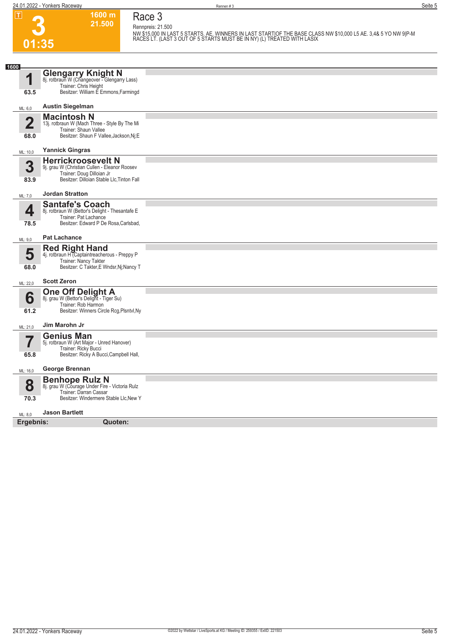**3**

**01:35**

**Race 3 Rennpreis: 21.500**

**1600 m 21.500** 

**NW \$15,000 IN LAST 5 STARTS. AE. WINNERS IN LAST START|OF THE BASE CLASS NW \$10,000 L5 AE. 3,4& 5 YO NW 9|P-M RACES LT. (LAST 3 OUT OF 5 STARTS MUST BE IN NY) (L) TREATED WITH LASIX** 

| 1600                    | <b>Glengarry Knight N</b>                                                 |  |
|-------------------------|---------------------------------------------------------------------------|--|
| 1                       | 8j. rotbraun W (Changeover - Glengarry Lass)                              |  |
| 63.5                    | Trainer: Chris Height<br>Besitzer: William E Emmons, Farmingd             |  |
|                         |                                                                           |  |
| ML: 6,0                 | <b>Austin Siegelman</b>                                                   |  |
|                         | <b>Macintosh N</b>                                                        |  |
| $\overline{\mathbf{2}}$ | 13j. rotbraun W (Mach Three - Style By The Mi<br>Trainer: Shaun Vallee    |  |
| 68.0                    | Besitzer: Shaun F Vallee, Jackson, Nj; E                                  |  |
| ML: 10,0                | <b>Yannick Gingras</b>                                                    |  |
|                         | <b>Herrickroosevelt N</b>                                                 |  |
| 3                       | 9j. grau W (Christian Cullen - Eleanor Roosev                             |  |
| 83.9                    | Trainer: Doug Dilloian Jr<br>Besitzer: Dilloian Stable Llc, Tinton Fall   |  |
|                         |                                                                           |  |
| ML: 7,0                 | <b>Jordan Stratton</b>                                                    |  |
| 4                       | <b>Santafe's Coach</b><br>8j. rotbraun W (Bettor's Delight - Thesantafe E |  |
|                         | Trainer: Pat Lachance                                                     |  |
| 78.5                    | Besitzer: Edward P De Rosa, Carlsbad,                                     |  |
| ML: 9,0                 | <b>Pat Lachance</b>                                                       |  |
|                         | <b>Red Right Hand</b>                                                     |  |
| 5                       | 4j. rotbraun H (Captaintreacherous - Preppy P<br>Trainer: Nancy Takter    |  |
| 68.0                    | Besitzer: C Takter, E Wndsr, Nj; Nancy T                                  |  |
| ML: 22,0                | <b>Scott Zeron</b>                                                        |  |
|                         | <b>One Off Delight A</b> 8j. grau W (Bettor's Delight - Tiger Su)         |  |
| 6                       | Trainer: Rob Harmon                                                       |  |
| 61.2                    | Besitzer: Winners Circle Rcg, Plsntvl, Ny                                 |  |
|                         |                                                                           |  |
| ML: 21,0                | Jim Marohn Jr                                                             |  |
|                         | <b>Genius Man</b><br>5j. rotbraun W (Art Major - Unred Hanover)           |  |
|                         | Trainer: Ricky Bucci                                                      |  |
| 65.8                    | Besitzer: Ricky A Bucci, Campbell Hall,                                   |  |
| ML: 16,0                | George Brennan                                                            |  |
|                         | <b>Benhope Rulz N</b>                                                     |  |
| 8                       | 8j. grau W (Courage Under Fire - Victoria Rulz<br>Trainer: Darran Cassar  |  |
| 70.3                    | Besitzer: Windermere Stable Llc, New Y                                    |  |
| ML: 8,0                 | <b>Jason Bartlett</b>                                                     |  |
| Ergebnis:               | Quoten:                                                                   |  |
|                         |                                                                           |  |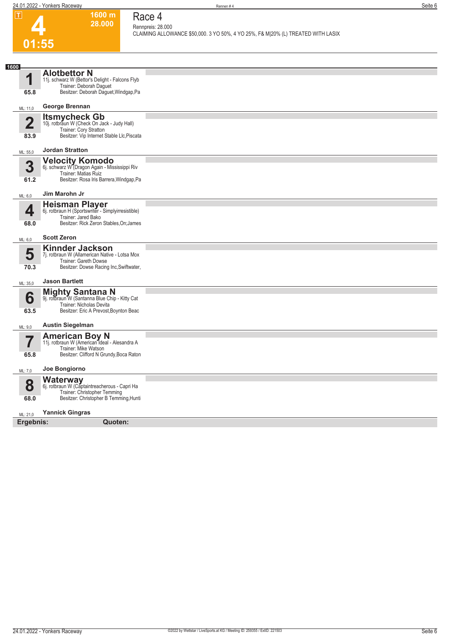**1600 m 28.000**  **Race 4 Rennpreis: 28.000**

**CLAIMING ALLOWANCE \$50,000. 3 YO 50%, 4 YO 25%, F& M|20% (L) TREATED WITH LASIX** 

## **4 01:55**

| 1600                    |                                                                           |  |
|-------------------------|---------------------------------------------------------------------------|--|
| η                       | <b>Alothettor N</b><br>11j. schwarz W (Bettor's Delight - Falcons Flyb    |  |
|                         | Trainer: Deborah Daguet                                                   |  |
| 65.8                    | Besitzer: Deborah Daguet, Windgap, Pa                                     |  |
| ML: 11,0                | George Brennan                                                            |  |
| $\overline{\mathbf{2}}$ | <b>Itsmycheck Gb</b><br>10j. rotbraun W (Check On Jack - Judy Hall)       |  |
|                         | Trainer: Cory Stratton                                                    |  |
| 83.9                    | Besitzer: Vip Internet Stable Llc, Piscata                                |  |
| ML: 55,0                | <b>Jordan Stratton</b>                                                    |  |
| 3                       | <b>Velocity Komodo</b><br>6j. schwarz W (Dragon Again - Mississippi Riv   |  |
|                         | Trainer: Matias Ruiz                                                      |  |
| 61.2                    | Besitzer: Rosa Iris Barrera, Windgap, Pa                                  |  |
| ML: 6,0                 | Jim Marohn Jr                                                             |  |
| 4                       | Heisman Player<br>6j. rotbraun H (Sportswriter - Simplyirresistible)      |  |
| 68.0                    | Trainer: Jared Bako<br>Besitzer: Rick Zeron Stables, On; James            |  |
|                         |                                                                           |  |
| ML: 6,0                 | <b>Scott Zeron</b>                                                        |  |
| 5                       | <b>Kinnder Jackson</b><br>7j. rotbraun W (Allamerican Native - Lotsa Mox  |  |
| 70.3                    | Trainer: Gareth Dowse<br>Besitzer: Dowse Racing Inc, Swiftwater,          |  |
|                         |                                                                           |  |
| ML: 35,0                | <b>Jason Bartlett</b>                                                     |  |
| 6                       | <b>Mighty Santana N</b><br>9j. rotbraun W (Santanna Blue Chip - Kitty Cat |  |
| 63.5                    | Trainer: Nicholas Devita<br>Besitzer: Eric A Prevost, Boynton Beac        |  |
|                         |                                                                           |  |
| ML: 9,0                 | <b>Austin Siegelman</b>                                                   |  |
| 7                       | <b>American Boy N</b><br>11j. rotbraun W (American Ideal - Alesandra A    |  |
| 65.8                    | Trainer: Mike Watson<br>Besitzer: Clifford N Grundy, Boca Raton           |  |
|                         |                                                                           |  |
| ML: 7,0                 | Joe Bongiorno                                                             |  |
| 8                       | <b>Waterway</b><br>6j. rotbraun W (Captaintreacherous - Capri Ha          |  |
| 68.0                    | Trainer: Christopher Temming<br>Besitzer: Christopher B Temming, Hunti    |  |
|                         |                                                                           |  |
| ML: 21,0                | <b>Yannick Gingras</b>                                                    |  |
| Ergebnis:               | Quoten:                                                                   |  |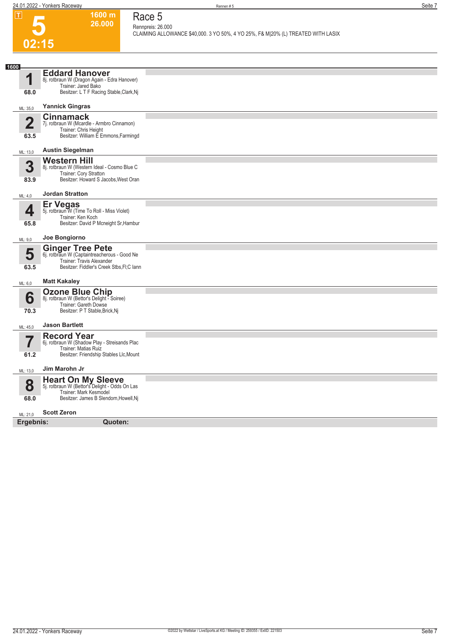

### **1600 m 26.000**

**Race 5 Rennpreis: 26.000**

**CLAIMING ALLOWANCE \$40,000. 3 YO 50%, 4 YO 25%, F& M|20% (L) TREATED WITH LASIX** 

| 1600<br>◢               | <b>Eddard Hanover</b><br>8j. rotbraun W (Dragon Again - Edra Hanover)   |  |
|-------------------------|-------------------------------------------------------------------------|--|
|                         | Trainer: Jared Bako                                                     |  |
| 68.0                    | Besitzer: L T F Racing Stable, Clark, Nj                                |  |
| ML: 35,0                | <b>Yannick Gingras</b>                                                  |  |
| $\overline{\mathbf{2}}$ | <b>Cinnamack</b><br>7j. rotbraun W (Mcardle - Armbro Cinnamon)          |  |
|                         | Trainer: Chris Height<br>Besitzer: William E Emmons, Farmingd           |  |
| 63.5                    |                                                                         |  |
| ML: 13,0                | <b>Austin Siegelman</b>                                                 |  |
| 3                       | <b>Western Hill</b><br>8j. rotbraun W (Western Ideal - Cosmo Blue C     |  |
| 83.9                    | Trainer: Cory Stratton<br>Besitzer: Howard S Jacobs, West Oran          |  |
|                         |                                                                         |  |
| ML: 4,0                 | <b>Jordan Stratton</b>                                                  |  |
| 4                       | <b>Er Vegas</b><br>5j. rotbraun W (Time To Roll - Miss Violet)          |  |
| 65.8                    | Trainer: Ken Koch<br>Besitzer: David P Mcneight Sr, Hambur              |  |
|                         |                                                                         |  |
| ML: 9,0                 | Joe Bongiorno                                                           |  |
| 5                       | <b>Ginger Tree Pete</b><br>6j. rotbraun W (Captaintreacherous - Good Ne |  |
| 63.5                    | Trainer: Travis Alexander<br>Besitzer: Fiddler's Creek Stbs, FI; Clann  |  |
|                         |                                                                         |  |
| ML: 6,0                 | <b>Matt Kakaley</b>                                                     |  |
| 6                       | <b>Ozone Blue Chip</b><br>8j. rotbraun W (Bettor's Delight - Soiree)    |  |
| 70.3                    | Trainer: Gareth Dowse<br>Besitzer: P T Stable, Brick, Nj                |  |
|                         |                                                                         |  |
| ML: 45,0                | <b>Jason Bartlett</b>                                                   |  |
|                         | <b>Record Year</b><br>6j. rotbraun W (Shadow Play - Streisands Plac     |  |
| 61.2                    | Trainer: Matias Ruiz<br>Besitzer: Friendship Stables Llc, Mount         |  |
|                         |                                                                         |  |
| ML: 13,0                | Jim Marohn Jr                                                           |  |
| 8                       | Heart On My Sleeve<br>5j. rotbraun W (Bettor's Delight - Odds On Las    |  |
| 68.0                    | Trainer: Mark Kesmodel<br>Besitzer: James B Slendorn, Howell, Nj        |  |
|                         | <b>Scott Zeron</b>                                                      |  |
| ML: 21.0                |                                                                         |  |
| Ergebnis:               | Quoten:                                                                 |  |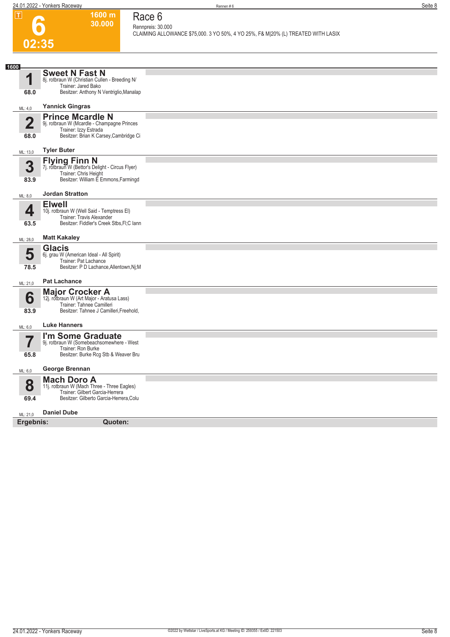

### **Race 6 Rennpreis: 30.000**

**1600 m 30.000** 

**CLAIMING ALLOWANCE \$75,000. 3 YO 50%, 4 YO 25%, F& M|20% (L) TREATED WITH LASIX** 

| 1600                    |                                                                                |  |
|-------------------------|--------------------------------------------------------------------------------|--|
| ◢                       | <b>Sweet N Fast N</b>                                                          |  |
|                         | 8j. rotbraun W (Christian Cullen - Breeding N/<br>Trainer: Jared Bako          |  |
| 68.0                    | Besitzer: Anthony N Ventriglio, Manalap                                        |  |
| ML: 4,0                 | <b>Yannick Gingras</b>                                                         |  |
|                         | <b>Prince Mcardle N</b>                                                        |  |
| $\overline{\mathbf{2}}$ | 9j. rotbraun W (Mcardle - Champagne Princes                                    |  |
|                         | Trainer: Izzy Estrada<br>Besitzer: Brian K Carsey, Cambridge Ci                |  |
| 68.0                    |                                                                                |  |
| ML: 13,0                | <b>Tyler Buter</b>                                                             |  |
| 3                       | <b>Flying Finn N</b>                                                           |  |
|                         | 7j. rotbraun W (Bettor's Delight - Circus Flyer)<br>Trainer: Chris Height      |  |
| 83.9                    | Besitzer: William E Emmons, Farmingd                                           |  |
| ML: 8,0                 | <b>Jordan Stratton</b>                                                         |  |
|                         | <b>Elwell</b>                                                                  |  |
| 4                       | 10j. rotbraun W (Well Said - Temptress El)<br>Trainer: Travis Alexander        |  |
| 63.5                    | Besitzer: Fiddler's Creek Stbs, FI; C lann                                     |  |
| ML: 28,0                | <b>Matt Kakaley</b>                                                            |  |
|                         | <b>Glacis</b>                                                                  |  |
| 5                       | 6j. grau W (American Ideal - All Spirit)                                       |  |
| 78.5                    | Trainer: Pat Lachance<br>Besitzer: P D Lachance, Allentown, Nj; M              |  |
|                         | <b>Pat Lachance</b>                                                            |  |
| ML: 21,0                |                                                                                |  |
| 6                       | <b>Major Crocker A</b><br>12j. rotbraun W (Art Major - Aratusa Lass)           |  |
|                         | Trainer: Tahnee Camilleri                                                      |  |
| 83.9                    | Besitzer: Tahnee J Camilleri, Freehold,                                        |  |
| ML: 6,0                 | <b>Luke Hanners</b>                                                            |  |
| 7                       | I'm Some Graduate                                                              |  |
|                         | 9j. rotbraun W (Somebeachsomewhere - West<br>Trainer: Ron Burke                |  |
| 65.8                    | Besitzer: Burke Rcg Stb & Weaver Bru                                           |  |
| ML: 6,0                 | George Brennan                                                                 |  |
|                         | <b>Mach Doro A</b>                                                             |  |
| 8                       | 11j. rotbraun W (Mach Three - Three Eagles)<br>Trainer: Gilbert Garcia-Herrera |  |
| 69.4                    | Besitzer: Gilberto Garcia-Herrera, Colu                                        |  |
|                         | <b>Daniel Dube</b>                                                             |  |
| ML: 21,0<br>Ergebnis:   | Quoten:                                                                        |  |
|                         |                                                                                |  |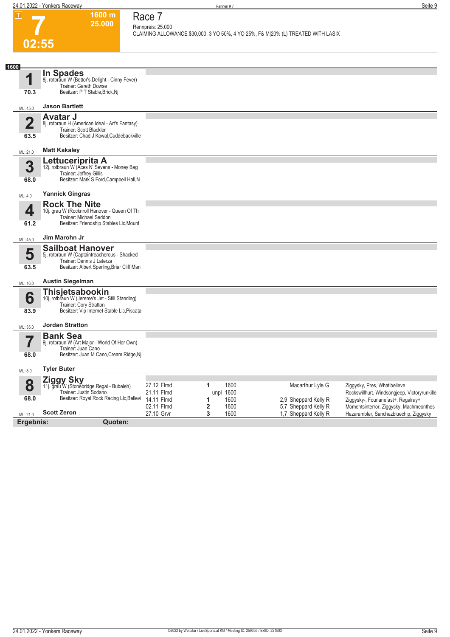**1600 m 25.000** 

**Race 7 Rennpreis: 25.000**

**CLAIMING ALLOWANCE \$30,000. 3 YO 50%, 4 YO 25%, F& M|20% (L) TREATED WITH LASIX** 

# **7 02:55**

| 1600                    | <b>In Spades</b>                                                           |                          |                                              |                                              |                                                                                   |
|-------------------------|----------------------------------------------------------------------------|--------------------------|----------------------------------------------|----------------------------------------------|-----------------------------------------------------------------------------------|
| 1                       | 8j. rotbraun W (Bettor's Delight - Cinny Fever)<br>Trainer: Gareth Dowse   |                          |                                              |                                              |                                                                                   |
| 70.3                    | Besitzer: P T Stable, Brick, Nj                                            |                          |                                              |                                              |                                                                                   |
| ML: 45,0                | <b>Jason Bartlett</b>                                                      |                          |                                              |                                              |                                                                                   |
|                         | <b>Avatar J</b>                                                            |                          |                                              |                                              |                                                                                   |
| $\overline{\mathbf{2}}$ | 8j. rotbraun H (American Ideal - Art's Fantasy)<br>Trainer: Scott Blackler |                          |                                              |                                              |                                                                                   |
| 63.5                    | Besitzer: Chad J Kowal, Cuddebackville                                     |                          |                                              |                                              |                                                                                   |
| ML: 21,0                | <b>Matt Kakaley</b>                                                        |                          |                                              |                                              |                                                                                   |
| 3                       | Lettuceriprita A                                                           |                          |                                              |                                              |                                                                                   |
|                         | 12j. rotbraun W (Aces N' Sevens - Money Bag<br>Trainer: Jeffrey Gillis     |                          |                                              |                                              |                                                                                   |
| 68.0                    | Besitzer: Mark S Ford, Campbell Hall, N                                    |                          |                                              |                                              |                                                                                   |
| ML: 4,0                 | <b>Yannick Gingras</b>                                                     |                          |                                              |                                              |                                                                                   |
| 4                       | <b>Rock The Nite</b>                                                       |                          |                                              |                                              |                                                                                   |
|                         | 10j. grau W (Rocknroll Hanover - Queen Of Th<br>Trainer: Michael Seddon    |                          |                                              |                                              |                                                                                   |
| 61.2                    | Besitzer: Friendship Stables Llc, Mount                                    |                          |                                              |                                              |                                                                                   |
| ML: 45,0                | Jim Marohn Jr                                                              |                          |                                              |                                              |                                                                                   |
|                         | <b>Sailboat Hanover</b>                                                    |                          |                                              |                                              |                                                                                   |
| 5                       | 5j. rotbraun W (Captaintreacherous - Shacked<br>Trainer: Dennis J Laterza  |                          |                                              |                                              |                                                                                   |
| 63.5                    | Besitzer: Albert Sperling, Briar Cliff Man                                 |                          |                                              |                                              |                                                                                   |
| ML: 16,0                | <b>Austin Siegelman</b>                                                    |                          |                                              |                                              |                                                                                   |
| 6                       | Thisjetsabookin<br>10j. rotbraun W (Jereme's Jet - Still Standing)         |                          |                                              |                                              |                                                                                   |
|                         | Trainer: Cory Stratton                                                     |                          |                                              |                                              |                                                                                   |
| 83.9                    | Besitzer: Vip Internet Stable Llc, Piscata                                 |                          |                                              |                                              |                                                                                   |
| ML: 35,0                | <b>Jordan Stratton</b>                                                     |                          |                                              |                                              |                                                                                   |
| 7                       | <b>Bank Sea</b><br>9j. rotbraun W (Art Major - World Of Her Own)           |                          |                                              |                                              |                                                                                   |
|                         | Trainer: Juan Cano                                                         |                          |                                              |                                              |                                                                                   |
| 68.0                    | Besitzer: Juan M Cano, Cream Ridge, Nj                                     |                          |                                              |                                              |                                                                                   |
| ML: 8,0                 | <b>Tyler Buter</b>                                                         |                          |                                              |                                              |                                                                                   |
| 8                       | <b>Ziggy Sky</b>                                                           | 27.12 Flmd               | 1600<br>1                                    | Macarthur Lyle G                             | Ziggysky, Pres, Whatibelieve                                                      |
|                         | 11j. grau W (Stonebridge Regal - Bubeleh)<br>Trainer: Justin Sodano        | 21.11 Flmd               | unpl 1600                                    |                                              | Rockswillhurt, Windsongjeep, Victoryrunkille                                      |
| 68.0                    | Besitzer: Royal Rock Racing Llc, Bellevi                                   | 14.11 Flmd               | 1600<br>1                                    | 2,9 Sheppard Kelly R                         | Ziggysky-, Fourlanefast+, Regalray+                                               |
| ML: 21,0                | <b>Scott Zeron</b>                                                         | 02.11 Flmd<br>27.10 Grvr | $\overline{\mathbf{2}}$<br>1600<br>3<br>1600 | 5,7 Sheppard Kelly R<br>1.7 Sheppard Kelly R | Momentsinterror, Ziggysky, Machmeonthes<br>Hezarambler, Sanchezbluechip, Ziggysky |
| Ergebnis:               | Quoten:                                                                    |                          |                                              |                                              |                                                                                   |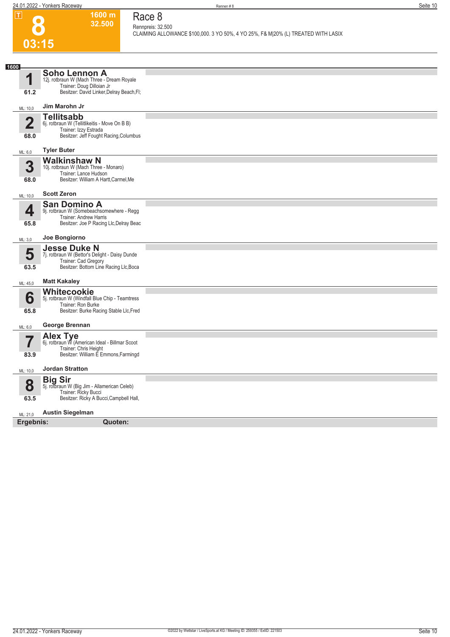**1600 m 32.500**  **Race 8 Rennpreis: 32.500**

**8**

|                         |                                                                                                                                         | CLAIMING ALLOWANCE \$100,000. 3 YO 50%, 4 YO 25%, F& M 20% (L) TREATED WITH LASIX |
|-------------------------|-----------------------------------------------------------------------------------------------------------------------------------------|-----------------------------------------------------------------------------------|
| 03:15                   |                                                                                                                                         |                                                                                   |
|                         |                                                                                                                                         |                                                                                   |
| 1600                    |                                                                                                                                         |                                                                                   |
| 1<br>61.2               | Soho Lennon A<br>12j. rotbraun W (Mach Three - Dream Royale<br>Trainer: Doug Dilloian Jr<br>Besitzer: David Linker, Delray Beach, Fl;   |                                                                                   |
|                         | Jim Marohn Jr                                                                                                                           |                                                                                   |
| ML: 10,0                | <b>Tellitsabb</b>                                                                                                                       |                                                                                   |
| $\overline{\mathbf{2}}$ | 6j. rotbraun W (Tellitlikeitis - Move On B B)<br>Trainer: Izzy Estrada                                                                  |                                                                                   |
| 68.0                    | Besitzer: Jeff Fought Racing, Columbus                                                                                                  |                                                                                   |
| ML: 6,0                 | <b>Tyler Buter</b>                                                                                                                      |                                                                                   |
| 3<br>68.0               | <b>Walkinshaw N</b><br>10j. rotbraun W (Mach Three - Monaro)<br>Trainer: Lance Hudson<br>Besitzer: William A Hartt, Carmel, Me          |                                                                                   |
| ML: 10,0                | <b>Scott Zeron</b>                                                                                                                      |                                                                                   |
| 4<br>65.8               | <b>San Domino A</b><br>9j. rotbraun W (Somebeachsomewhere - Regg<br>Trainer: Andrew Harris<br>Besitzer: Joe P Racing Llc, Delray Beac   |                                                                                   |
| ML: 3,0                 | Joe Bongiorno                                                                                                                           |                                                                                   |
| 5<br>63.5               | <b>Jesse Duke N</b><br>7j. rotbraun W (Bettor's Delight - Daisy Dunde<br>Trainer: Cad Gregory<br>Besitzer: Bottom Line Racing Llc, Boca |                                                                                   |
| ML: 45,0                | <b>Matt Kakaley</b>                                                                                                                     |                                                                                   |
| 6<br>65.8               | <b>Whitecookie</b><br>5j. rotbraun W (Windfall Blue Chip - Teamtress<br>Trainer: Ron Burke<br>Besitzer: Burke Racing Stable Llc, Fred   |                                                                                   |
| ML: 6,0                 | George Brennan                                                                                                                          |                                                                                   |
| 83.9                    | Alex Tye<br>6j. rotbraun W (American Ideal - Billmar Scoot<br>Trainer: Chris Height<br>Besitzer: William E Emmons, Farmingd             |                                                                                   |
| ML: 10,0                | <b>Jordan Stratton</b>                                                                                                                  |                                                                                   |
| 8<br>63.5               | <b>Big Sir</b><br>5j. rotbraun W (Big Jim - Allamerican Celeb)<br>Trainer: Ricky Bucci<br>Besitzer: Ricky A Bucci, Campbell Hall,       |                                                                                   |
| ML: 21,0                | <b>Austin Siegelman</b>                                                                                                                 |                                                                                   |
| Ergebnis:               | Quoten:                                                                                                                                 |                                                                                   |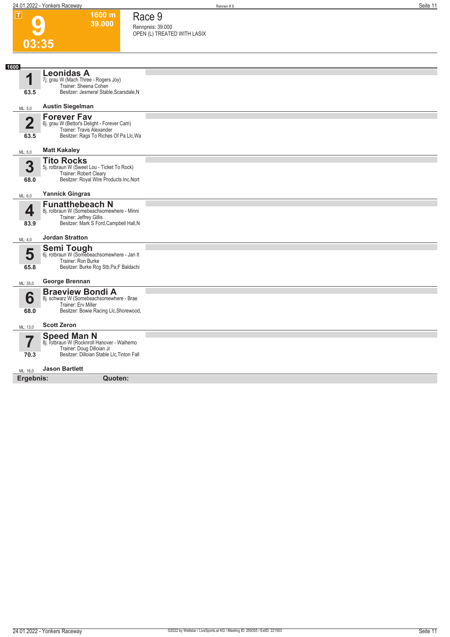**1600 m 39.000**  **Race 9 Rennpreis: 39.000**

**OPEN (L) TREATED WITH LASIX** 

**9**

| 03:35                  |                                                                                                                                              |  |  |  |
|------------------------|----------------------------------------------------------------------------------------------------------------------------------------------|--|--|--|
|                        |                                                                                                                                              |  |  |  |
| 1600<br>1<br>63.5      | <b>Leonidas A</b><br>7j. grau W (Mach Three - Rogers Joy)<br>Trainer: Sheena Cohen<br>Besitzer: Jesmeral Stable, Scarsdale, N                |  |  |  |
| ML: 5,0                | <b>Austin Siegelman</b>                                                                                                                      |  |  |  |
| $\overline{2}$<br>63.5 | <b>Forever Fav</b><br>6j. grau W (Bettor's Delight - Forever Cam)<br>Trainer: Travis Alexander<br>Besitzer: Rags To Riches Of Pa Llc, Wa     |  |  |  |
| ML: 5,0                | <b>Matt Kakaley</b>                                                                                                                          |  |  |  |
| 3<br>68.0              | <b>Tito Rocks</b><br>5j. rotbraun W (Sweet Lou - Ticket To Rock)<br>Trainer: Robert Cleary<br>Besitzer: Royal Wire Products Inc, Nort        |  |  |  |
| ML: 6,0                | <b>Yannick Gingras</b>                                                                                                                       |  |  |  |
| 4<br>83.9              | <b>Funatthebeach N</b><br>8j. rotbraun W (Somebeachsomewhere - Minni<br>Trainer: Jeffrey Gillis<br>Besitzer: Mark S Ford, Campbell Hall, N   |  |  |  |
| ML: 4,0                | <b>Jordan Stratton</b>                                                                                                                       |  |  |  |
| 5<br>65.8              | <b>Semi Tough</b><br>6j. rotbraun W (Somebeachsomewhere - Jan It<br>Trainer: Ron Burke<br>Besitzer: Burke Rcg Stb, Pa; F Baldachi            |  |  |  |
| ML: 35,0               | George Brennan                                                                                                                               |  |  |  |
| 6<br>68.0              | <b>Braeview Bondi A</b><br>8j. schwarz W (Somebeachsomewhere - Brae<br>Trainer: Erv Miller<br>Besitzer: Bowie Racing Llc, Shorewood,         |  |  |  |
| ML: 13,0               | <b>Scott Zeron</b>                                                                                                                           |  |  |  |
| 7<br>70.3              | <b>Speed Man N</b><br>8j. rotbraun W (Rocknroll Hanover - Waihemo<br>Trainer: Doug Dilloian Jr<br>Besitzer: Dilloian Stable Llc, Tinton Fall |  |  |  |
| ML: 16.0               | <b>Jason Bartlett</b>                                                                                                                        |  |  |  |
|                        | Ergebnis:<br>Quoten:                                                                                                                         |  |  |  |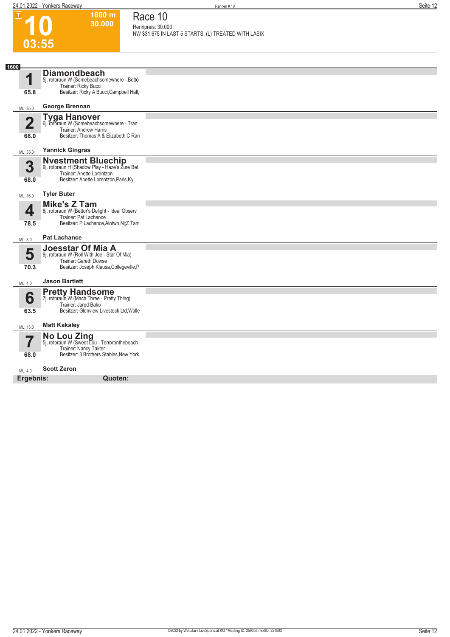$|\mathsf{T}|$ 

**1600 m 30.000** 

**Race 10**

#### **10 03:55 Rennpreis: 30.000 NW \$31,675 IN LAST 5 STARTS. (L) TREATED WITH LASIX 1 1600** ML: 35,0 **65.8 Diamondbeach** 5j. rotbraun W (Somebeachsomewhere - Betto Trainer: Ricky Bucci Besitzer: Ricky A Bucci,Campbell Hall, **George Brennan 2** ML: 55,0 **68.0 Tyga Hanover** 6j. rotbraun W (Somebeachsomewhere - Tran Trainer: Andrew Harris Besitzer: Thomas A & Elizabeth C Ran **Yannick Gingras 3** ML: 16,0 **68.0 Nvestment Bluechip** 9j. rotbraun H (Shadow Play - Haze's Zure Bet Trainer: Anette Lorentzon Besitzer: Anette Lorentzon,Paris,Ky **Tyler Buter 4** ML: 8,0 **78.5 Mike's Z Tam** 8j. rotbraun W (Bettor's Delight - Ideal Observ Trainer: Pat Lachance Besitzer: P Lachance, Alntwn, Nj; Z Tam **Pat Lachance 5** ML: 4,0 **70.3 Joesstar Of Mia A** 9j. rotbraun W (Roll With Joe - Star Of Mia) Trainer: Gareth Dowse Besitzer: Joseph Klausa,Collegeville,P **Jason Bartlett 6** ML: 13,0 **63.5 Pretty Handsome**<br>7j. rotbraun W (Mach Three - Pretty Thing) Trainer: Jared Bako Besitzer: Glenview Livestock Ltd,Walle **Matt Kakaley 7** ML: 4,0 **68.0 No Lou Zing** 5j. rotbraun W (Sweet Lou - Terroronthebeach Trainer: Nancy Takter Besitzer: 3 Brothers Stables,New York, **Scott Zeron Ergebnis: Quoten:**